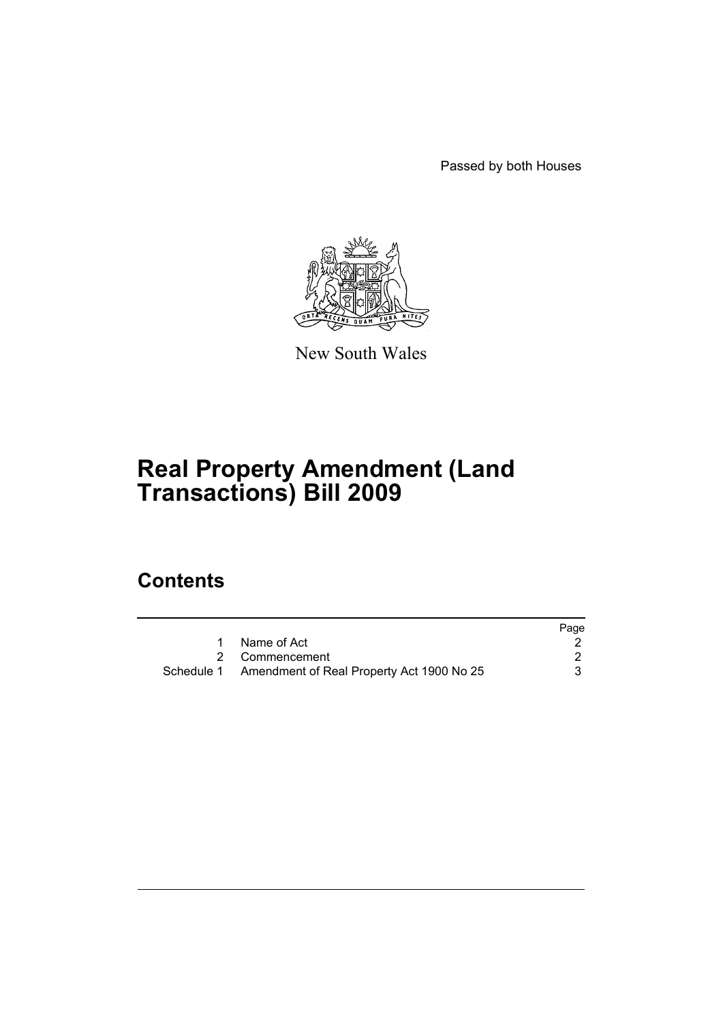Passed by both Houses



New South Wales

# **Real Property Amendment (Land Transactions) Bill 2009**

## **Contents**

|                                                      | Page |
|------------------------------------------------------|------|
| 1 Name of Act                                        |      |
| 2 Commencement                                       |      |
| Schedule 1 Amendment of Real Property Act 1900 No 25 |      |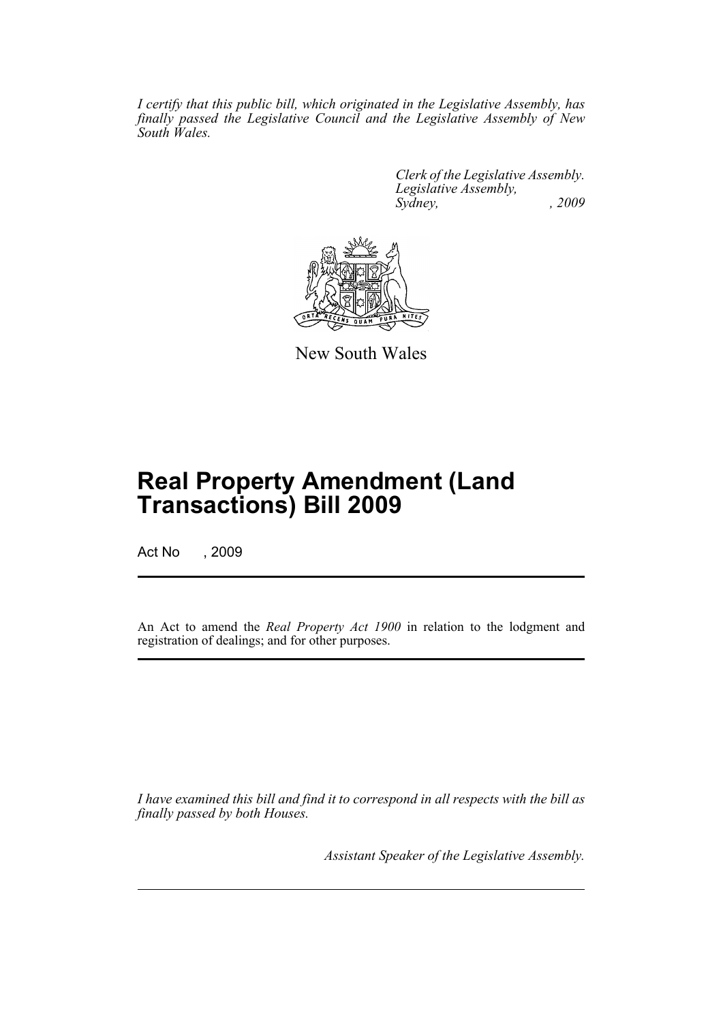*I certify that this public bill, which originated in the Legislative Assembly, has finally passed the Legislative Council and the Legislative Assembly of New South Wales.*

> *Clerk of the Legislative Assembly. Legislative Assembly, Sydney, , 2009*



New South Wales

## **Real Property Amendment (Land Transactions) Bill 2009**

Act No , 2009

An Act to amend the *Real Property Act 1900* in relation to the lodgment and registration of dealings; and for other purposes.

*I have examined this bill and find it to correspond in all respects with the bill as finally passed by both Houses.*

*Assistant Speaker of the Legislative Assembly.*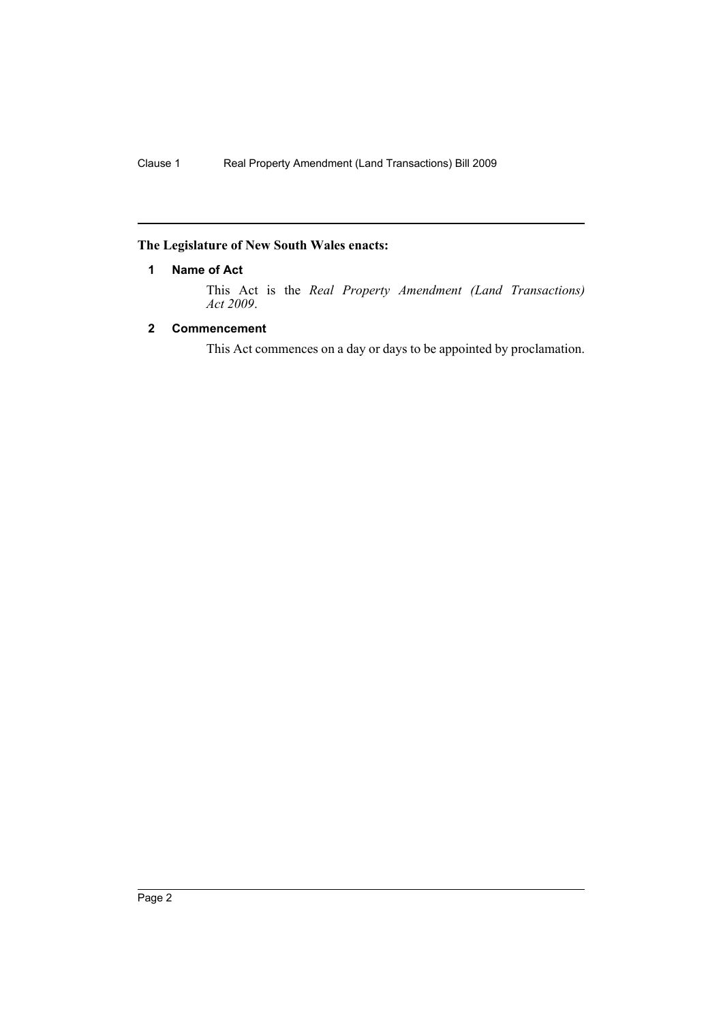### <span id="page-2-0"></span>**The Legislature of New South Wales enacts:**

#### **1 Name of Act**

This Act is the *Real Property Amendment (Land Transactions) Act 2009*.

#### <span id="page-2-1"></span>**2 Commencement**

This Act commences on a day or days to be appointed by proclamation.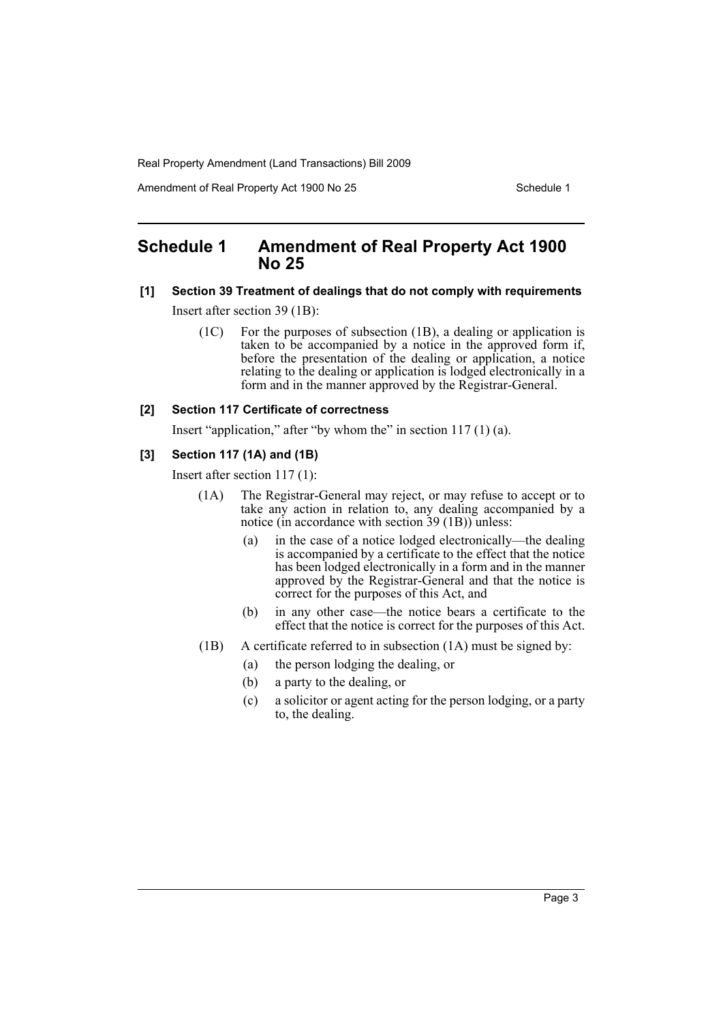Real Property Amendment (Land Transactions) Bill 2009

Amendment of Real Property Act 1900 No 25 Schedule 1

## <span id="page-3-0"></span>**Schedule 1 Amendment of Real Property Act 1900 No 25**

#### **[1] Section 39 Treatment of dealings that do not comply with requirements**

Insert after section 39 (1B):

(1C) For the purposes of subsection (1B), a dealing or application is taken to be accompanied by a notice in the approved form if, before the presentation of the dealing or application, a notice relating to the dealing or application is lodged electronically in a form and in the manner approved by the Registrar-General.

#### **[2] Section 117 Certificate of correctness**

Insert "application," after "by whom the" in section 117 (1) (a).

#### **[3] Section 117 (1A) and (1B)**

Insert after section 117 (1):

- (1A) The Registrar-General may reject, or may refuse to accept or to take any action in relation to, any dealing accompanied by a notice (in accordance with section 39 (1B)) unless:
	- (a) in the case of a notice lodged electronically—the dealing is accompanied by a certificate to the effect that the notice has been lodged electronically in a form and in the manner approved by the Registrar-General and that the notice is correct for the purposes of this Act, and
	- (b) in any other case—the notice bears a certificate to the effect that the notice is correct for the purposes of this Act.
- (1B) A certificate referred to in subsection (1A) must be signed by:
	- (a) the person lodging the dealing, or
	- (b) a party to the dealing, or
	- (c) a solicitor or agent acting for the person lodging, or a party to, the dealing.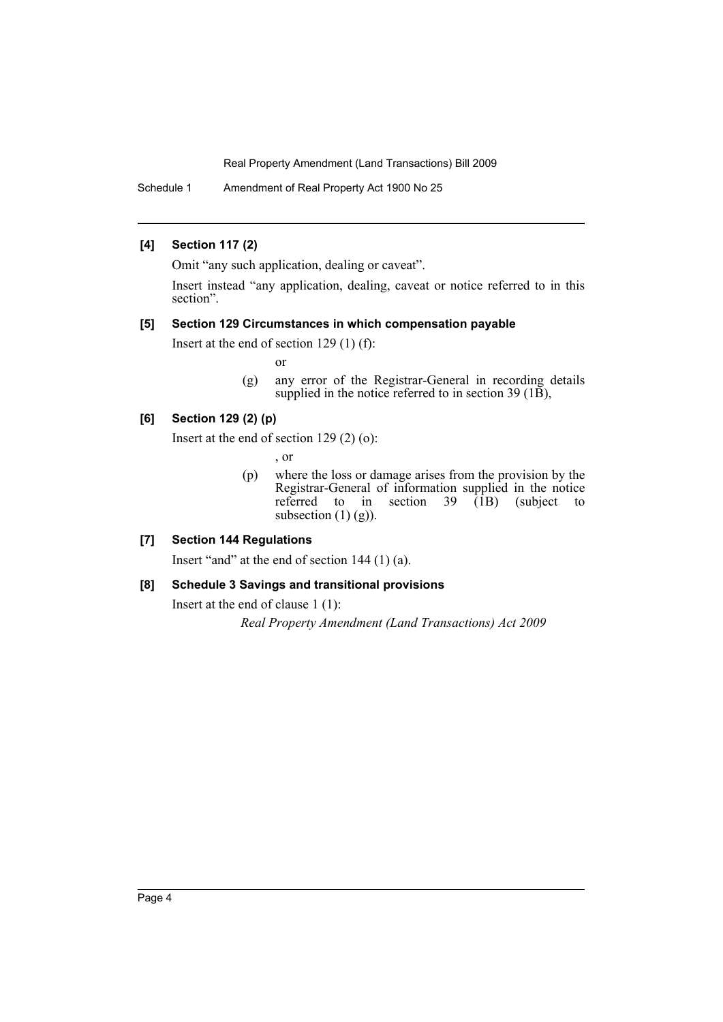Real Property Amendment (Land Transactions) Bill 2009

Schedule 1 Amendment of Real Property Act 1900 No 25

#### **[4] Section 117 (2)**

Omit "any such application, dealing or caveat".

Insert instead "any application, dealing, caveat or notice referred to in this section".

#### **[5] Section 129 Circumstances in which compensation payable**

Insert at the end of section 129 (1) (f):

or

(g) any error of the Registrar-General in recording details supplied in the notice referred to in section 39 ( $1\overline{B}$ ),

#### **[6] Section 129 (2) (p)**

Insert at the end of section 129 (2) (o):

, or

(p) where the loss or damage arises from the provision by the Registrar-General of information supplied in the notice referred to in section  $39 \hat{1}B$ ) (subject to subsection  $(1)$   $(g)$ ).

### **[7] Section 144 Regulations**

Insert "and" at the end of section 144 (1) (a).

#### **[8] Schedule 3 Savings and transitional provisions**

Insert at the end of clause 1 (1):

*Real Property Amendment (Land Transactions) Act 2009*